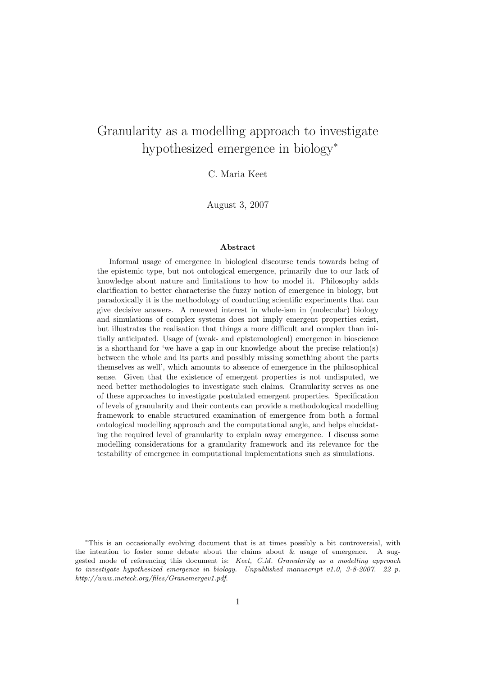# Granularity as a modelling approach to investigate hypothesized emergence in biology<sup>∗</sup>

C. Maria Keet

August 3, 2007

#### Abstract

Informal usage of emergence in biological discourse tends towards being of the epistemic type, but not ontological emergence, primarily due to our lack of knowledge about nature and limitations to how to model it. Philosophy adds clarification to better characterise the fuzzy notion of emergence in biology, but paradoxically it is the methodology of conducting scientific experiments that can give decisive answers. A renewed interest in whole-ism in (molecular) biology and simulations of complex systems does not imply emergent properties exist, but illustrates the realisation that things a more difficult and complex than initially anticipated. Usage of (weak- and epistemological) emergence in bioscience is a shorthand for 'we have a gap in our knowledge about the precise relation(s) between the whole and its parts and possibly missing something about the parts themselves as well', which amounts to absence of emergence in the philosophical sense. Given that the existence of emergent properties is not undisputed, we need better methodologies to investigate such claims. Granularity serves as one of these approaches to investigate postulated emergent properties. Specification of levels of granularity and their contents can provide a methodological modelling framework to enable structured examination of emergence from both a formal ontological modelling approach and the computational angle, and helps elucidating the required level of granularity to explain away emergence. I discuss some modelling considerations for a granularity framework and its relevance for the testability of emergence in computational implementations such as simulations.

<sup>∗</sup>This is an occasionally evolving document that is at times possibly a bit controversial, with the intention to foster some debate about the claims about  $&$  usage of emergence. A suggested mode of referencing this document is: Keet, C.M. Granularity as a modelling approach to investigate hypothesized emergence in biology. Unpublished manuscript v1.0, 3-8-2007. 22 p. http://www.meteck.org/files/Granemergev1.pdf.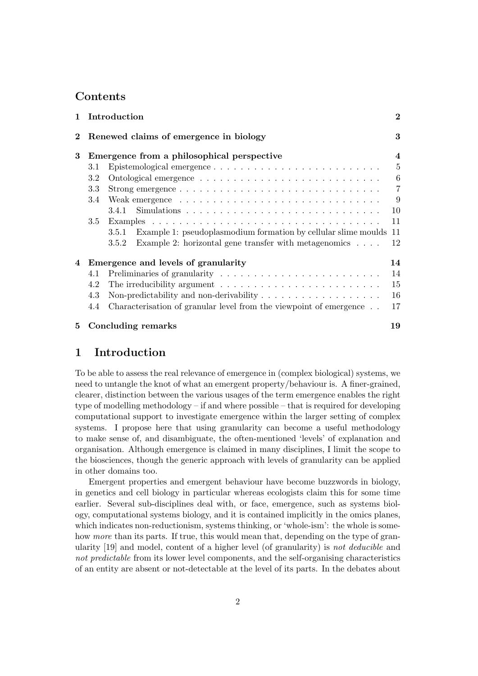# **Contents**

|          |     | Introduction                                                                        | $\bf{2}$       |
|----------|-----|-------------------------------------------------------------------------------------|----------------|
| $\bf{2}$ |     | Renewed claims of emergence in biology                                              | 3              |
| 3        |     | Emergence from a philosophical perspective                                          | $\overline{4}$ |
|          | 3.1 |                                                                                     | $\overline{5}$ |
|          | 3.2 |                                                                                     | 6              |
|          | 3.3 |                                                                                     | $\overline{7}$ |
|          | 3.4 |                                                                                     | 9              |
|          |     |                                                                                     | 10             |
|          | 3.5 |                                                                                     | 11             |
|          |     | Example 1: pseudoplasmodium formation by cellular slime moulds<br>3.5.1             | 11             |
|          |     | Example 2: horizontal gene transfer with metagenomics $\ldots$ .<br>3.5.2           | 12             |
| 4        |     | Emergence and levels of granularity                                                 | 14             |
|          | 4.1 |                                                                                     | 14             |
|          | 4.2 | The irreducibility argument $\dots \dots \dots \dots \dots \dots \dots \dots \dots$ | 15             |
|          | 4.3 | Non-predictability and non-derivability $\ldots \ldots \ldots \ldots \ldots \ldots$ | 16             |
|          | 4.4 | Characterisation of granular level from the viewpoint of emergence                  | 17             |
| 5        |     | <b>Concluding remarks</b>                                                           | 19             |

## 1 Introduction

To be able to assess the real relevance of emergence in (complex biological) systems, we need to untangle the knot of what an emergent property/behaviour is. A finer-grained, clearer, distinction between the various usages of the term emergence enables the right type of modelling methodology – if and where possible – that is required for developing computational support to investigate emergence within the larger setting of complex systems. I propose here that using granularity can become a useful methodology to make sense of, and disambiguate, the often-mentioned 'levels' of explanation and organisation. Although emergence is claimed in many disciplines, I limit the scope to the biosciences, though the generic approach with levels of granularity can be applied in other domains too.

Emergent properties and emergent behaviour have become buzzwords in biology, in genetics and cell biology in particular whereas ecologists claim this for some time earlier. Several sub-disciplines deal with, or face, emergence, such as systems biology, computational systems biology, and it is contained implicitly in the omics planes, which indicates non-reductionism, systems thinking, or 'whole-ism': the whole is somehow more than its parts. If true, this would mean that, depending on the type of granularity [19] and model, content of a higher level (of granularity) is not deducible and not predictable from its lower level components, and the self-organising characteristics of an entity are absent or not-detectable at the level of its parts. In the debates about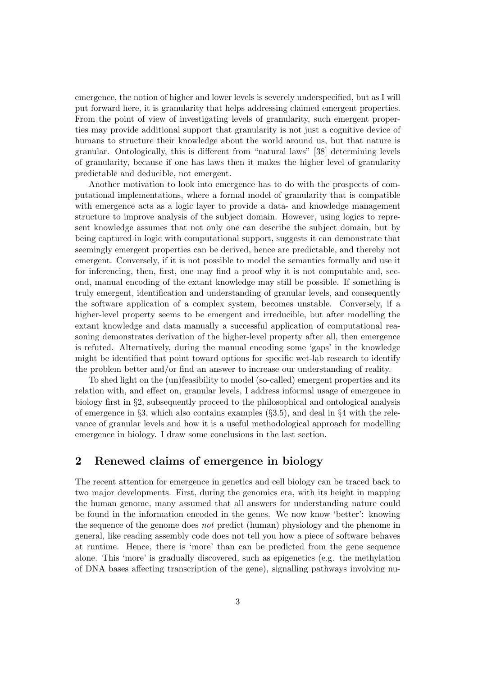emergence, the notion of higher and lower levels is severely underspecified, but as I will put forward here, it is granularity that helps addressing claimed emergent properties. From the point of view of investigating levels of granularity, such emergent properties may provide additional support that granularity is not just a cognitive device of humans to structure their knowledge about the world around us, but that nature is granular. Ontologically, this is different from "natural laws" [38] determining levels of granularity, because if one has laws then it makes the higher level of granularity predictable and deducible, not emergent.

Another motivation to look into emergence has to do with the prospects of computational implementations, where a formal model of granularity that is compatible with emergence acts as a logic layer to provide a data- and knowledge management structure to improve analysis of the subject domain. However, using logics to represent knowledge assumes that not only one can describe the subject domain, but by being captured in logic with computational support, suggests it can demonstrate that seemingly emergent properties can be derived, hence are predictable, and thereby not emergent. Conversely, if it is not possible to model the semantics formally and use it for inferencing, then, first, one may find a proof why it is not computable and, second, manual encoding of the extant knowledge may still be possible. If something is truly emergent, identification and understanding of granular levels, and consequently the software application of a complex system, becomes unstable. Conversely, if a higher-level property seems to be emergent and irreducible, but after modelling the extant knowledge and data manually a successful application of computational reasoning demonstrates derivation of the higher-level property after all, then emergence is refuted. Alternatively, during the manual encoding some 'gaps' in the knowledge might be identified that point toward options for specific wet-lab research to identify the problem better and/or find an answer to increase our understanding of reality.

To shed light on the (un)feasibility to model (so-called) emergent properties and its relation with, and effect on, granular levels, I address informal usage of emergence in biology first in §2, subsequently proceed to the philosophical and ontological analysis of emergence in  $\S3$ , which also contains examples ( $\S3.5$ ), and deal in  $\S4$  with the relevance of granular levels and how it is a useful methodological approach for modelling emergence in biology. I draw some conclusions in the last section.

# 2 Renewed claims of emergence in biology

The recent attention for emergence in genetics and cell biology can be traced back to two major developments. First, during the genomics era, with its height in mapping the human genome, many assumed that all answers for understanding nature could be found in the information encoded in the genes. We now know 'better': knowing the sequence of the genome does not predict (human) physiology and the phenome in general, like reading assembly code does not tell you how a piece of software behaves at runtime. Hence, there is 'more' than can be predicted from the gene sequence alone. This 'more' is gradually discovered, such as epigenetics (e.g. the methylation of DNA bases affecting transcription of the gene), signalling pathways involving nu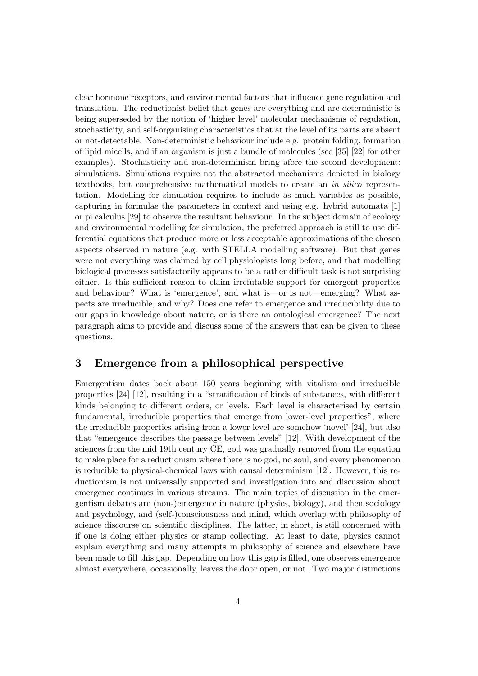clear hormone receptors, and environmental factors that influence gene regulation and translation. The reductionist belief that genes are everything and are deterministic is being superseded by the notion of 'higher level' molecular mechanisms of regulation, stochasticity, and self-organising characteristics that at the level of its parts are absent or not-detectable. Non-deterministic behaviour include e.g. protein folding, formation of lipid micells, and if an organism is just a bundle of molecules (see [35] [22] for other examples). Stochasticity and non-determinism bring afore the second development: simulations. Simulations require not the abstracted mechanisms depicted in biology textbooks, but comprehensive mathematical models to create an in silico representation. Modelling for simulation requires to include as much variables as possible, capturing in formulae the parameters in context and using e.g. hybrid automata [1] or pi calculus [29] to observe the resultant behaviour. In the subject domain of ecology and environmental modelling for simulation, the preferred approach is still to use differential equations that produce more or less acceptable approximations of the chosen aspects observed in nature (e.g. with STELLA modelling software). But that genes were not everything was claimed by cell physiologists long before, and that modelling biological processes satisfactorily appears to be a rather difficult task is not surprising either. Is this sufficient reason to claim irrefutable support for emergent properties and behaviour? What is 'emergence', and what is—or is not—emerging? What aspects are irreducible, and why? Does one refer to emergence and irreducibility due to our gaps in knowledge about nature, or is there an ontological emergence? The next paragraph aims to provide and discuss some of the answers that can be given to these questions.

### 3 Emergence from a philosophical perspective

Emergentism dates back about 150 years beginning with vitalism and irreducible properties [24] [12], resulting in a "stratification of kinds of substances, with different kinds belonging to different orders, or levels. Each level is characterised by certain fundamental, irreducible properties that emerge from lower-level properties", where the irreducible properties arising from a lower level are somehow 'novel' [24], but also that "emergence describes the passage between levels" [12]. With development of the sciences from the mid 19th century CE, god was gradually removed from the equation to make place for a reductionism where there is no god, no soul, and every phenomenon is reducible to physical-chemical laws with causal determinism [12]. However, this reductionism is not universally supported and investigation into and discussion about emergence continues in various streams. The main topics of discussion in the emergentism debates are (non-)emergence in nature (physics, biology), and then sociology and psychology, and (self-)consciousness and mind, which overlap with philosophy of science discourse on scientific disciplines. The latter, in short, is still concerned with if one is doing either physics or stamp collecting. At least to date, physics cannot explain everything and many attempts in philosophy of science and elsewhere have been made to fill this gap. Depending on how this gap is filled, one observes emergence almost everywhere, occasionally, leaves the door open, or not. Two major distinctions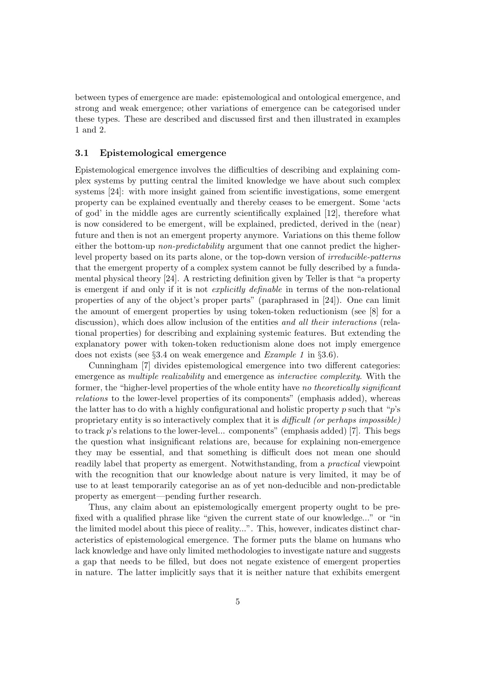between types of emergence are made: epistemological and ontological emergence, and strong and weak emergence; other variations of emergence can be categorised under these types. These are described and discussed first and then illustrated in examples 1 and 2.

#### 3.1 Epistemological emergence

Epistemological emergence involves the difficulties of describing and explaining complex systems by putting central the limited knowledge we have about such complex systems [24]: with more insight gained from scientific investigations, some emergent property can be explained eventually and thereby ceases to be emergent. Some 'acts of god' in the middle ages are currently scientifically explained [12], therefore what is now considered to be emergent, will be explained, predicted, derived in the (near) future and then is not an emergent property anymore. Variations on this theme follow either the bottom-up *non-predictability* argument that one cannot predict the higherlevel property based on its parts alone, or the top-down version of irreducible-patterns that the emergent property of a complex system cannot be fully described by a fundamental physical theory [24]. A restricting definition given by Teller is that "a property is emergent if and only if it is not explicitly definable in terms of the non-relational properties of any of the object's proper parts" (paraphrased in [24]). One can limit the amount of emergent properties by using token-token reductionism (see [8] for a discussion), which does allow inclusion of the entities *and all their interactions* (relational properties) for describing and explaining systemic features. But extending the explanatory power with token-token reductionism alone does not imply emergence does not exists (see §3.4 on weak emergence and Example 1 in §3.6).

Cunningham [7] divides epistemological emergence into two different categories: emergence as multiple realizability and emergence as interactive complexity. With the former, the "higher-level properties of the whole entity have no theoretically significant relations to the lower-level properties of its components" (emphasis added), whereas the latter has to do with a highly configurational and holistic property p such that " $p$ 's proprietary entity is so interactively complex that it is difficult (or perhaps impossible) to track p's relations to the lower-level... components" (emphasis added) [7]. This begs the question what insignificant relations are, because for explaining non-emergence they may be essential, and that something is difficult does not mean one should readily label that property as emergent. Notwithstanding, from a practical viewpoint with the recognition that our knowledge about nature is very limited, it may be of use to at least temporarily categorise an as of yet non-deducible and non-predictable property as emergent—pending further research.

Thus, any claim about an epistemologically emergent property ought to be prefixed with a qualified phrase like "given the current state of our knowledge..." or "in the limited model about this piece of reality...". This, however, indicates distinct characteristics of epistemological emergence. The former puts the blame on humans who lack knowledge and have only limited methodologies to investigate nature and suggests a gap that needs to be filled, but does not negate existence of emergent properties in nature. The latter implicitly says that it is neither nature that exhibits emergent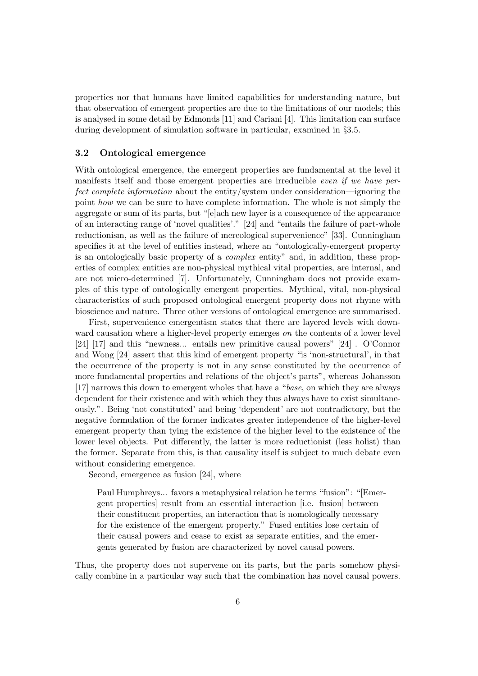properties nor that humans have limited capabilities for understanding nature, but that observation of emergent properties are due to the limitations of our models; this is analysed in some detail by Edmonds [11] and Cariani [4]. This limitation can surface during development of simulation software in particular, examined in §3.5.

#### 3.2 Ontological emergence

With ontological emergence, the emergent properties are fundamental at the level it manifests itself and those emergent properties are irreducible even if we have perfect complete information about the entity/system under consideration—ignoring the point how we can be sure to have complete information. The whole is not simply the aggregate or sum of its parts, but "[e]ach new layer is a consequence of the appearance of an interacting range of 'novel qualities'." [24] and "entails the failure of part-whole reductionism, as well as the failure of mereological supervenience" [33]. Cunningham specifies it at the level of entities instead, where an "ontologically-emergent property is an ontologically basic property of a complex entity" and, in addition, these properties of complex entities are non-physical mythical vital properties, are internal, and are not micro-determined [7]. Unfortunately, Cunningham does not provide examples of this type of ontologically emergent properties. Mythical, vital, non-physical characteristics of such proposed ontological emergent property does not rhyme with bioscience and nature. Three other versions of ontological emergence are summarised.

First, supervenience emergentism states that there are layered levels with downward causation where a higher-level property emerges *on* the contents of a lower level [24] [17] and this "newness... entails new primitive causal powers" [24] . O'Connor and Wong [24] assert that this kind of emergent property "is 'non-structural', in that the occurrence of the property is not in any sense constituted by the occurrence of more fundamental properties and relations of the object's parts", whereas Johansson [17] narrows this down to emergent wholes that have a "base, on which they are always dependent for their existence and with which they thus always have to exist simultaneously.". Being 'not constituted' and being 'dependent' are not contradictory, but the negative formulation of the former indicates greater independence of the higher-level emergent property than tying the existence of the higher level to the existence of the lower level objects. Put differently, the latter is more reductionist (less holist) than the former. Separate from this, is that causality itself is subject to much debate even without considering emergence.

Second, emergence as fusion [24], where

Paul Humphreys... favors a metaphysical relation he terms "fusion": "[Emergent properties] result from an essential interaction [i.e. fusion] between their constituent properties, an interaction that is nomologically necessary for the existence of the emergent property." Fused entities lose certain of their causal powers and cease to exist as separate entities, and the emergents generated by fusion are characterized by novel causal powers.

Thus, the property does not supervene on its parts, but the parts somehow physically combine in a particular way such that the combination has novel causal powers.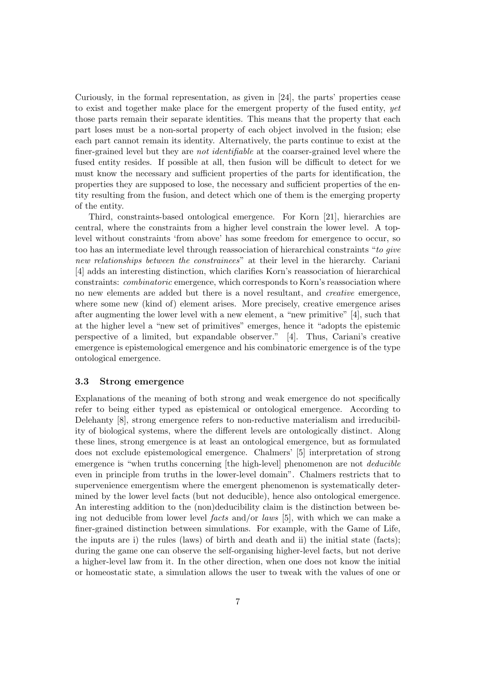Curiously, in the formal representation, as given in [24], the parts' properties cease to exist and together make place for the emergent property of the fused entity, yet those parts remain their separate identities. This means that the property that each part loses must be a non-sortal property of each object involved in the fusion; else each part cannot remain its identity. Alternatively, the parts continue to exist at the finer-grained level but they are not identifiable at the coarser-grained level where the fused entity resides. If possible at all, then fusion will be difficult to detect for we must know the necessary and sufficient properties of the parts for identification, the properties they are supposed to lose, the necessary and sufficient properties of the entity resulting from the fusion, and detect which one of them is the emerging property of the entity.

Third, constraints-based ontological emergence. For Korn [21], hierarchies are central, where the constraints from a higher level constrain the lower level. A toplevel without constraints 'from above' has some freedom for emergence to occur, so too has an intermediate level through reassociation of hierarchical constraints "to give new relationships between the constrainees" at their level in the hierarchy. Cariani [4] adds an interesting distinction, which clarifies Korn's reassociation of hierarchical constraints: combinatoric emergence, which corresponds to Korn's reassociation where no new elements are added but there is a novel resultant, and creative emergence, where some new (kind of) element arises. More precisely, creative emergence arises after augmenting the lower level with a new element, a "new primitive" [4], such that at the higher level a "new set of primitives" emerges, hence it "adopts the epistemic perspective of a limited, but expandable observer." [4]. Thus, Cariani's creative emergence is epistemological emergence and his combinatoric emergence is of the type ontological emergence.

#### 3.3 Strong emergence

Explanations of the meaning of both strong and weak emergence do not specifically refer to being either typed as epistemical or ontological emergence. According to Delehanty [8], strong emergence refers to non-reductive materialism and irreducibility of biological systems, where the different levels are ontologically distinct. Along these lines, strong emergence is at least an ontological emergence, but as formulated does not exclude epistemological emergence. Chalmers' [5] interpretation of strong emergence is "when truths concerning [the high-level] phenomenon are not *deducible* even in principle from truths in the lower-level domain". Chalmers restricts that to supervenience emergentism where the emergent phenomenon is systematically determined by the lower level facts (but not deducible), hence also ontological emergence. An interesting addition to the (non)deducibility claim is the distinction between being not deducible from lower level facts and/or laws [5], with which we can make a finer-grained distinction between simulations. For example, with the Game of Life, the inputs are i) the rules (laws) of birth and death and ii) the initial state (facts); during the game one can observe the self-organising higher-level facts, but not derive a higher-level law from it. In the other direction, when one does not know the initial or homeostatic state, a simulation allows the user to tweak with the values of one or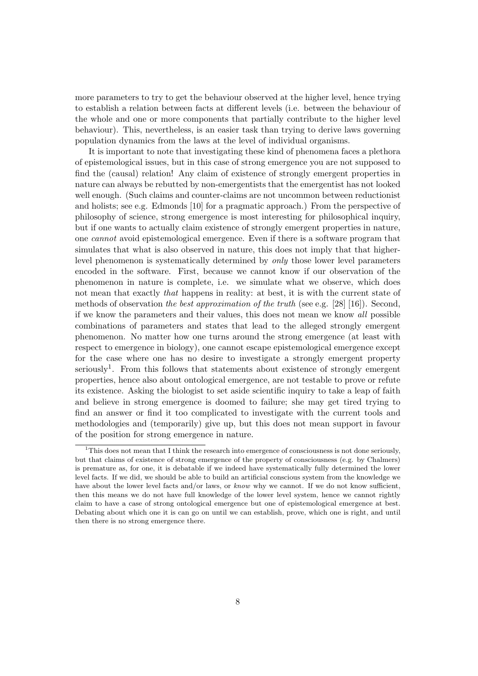more parameters to try to get the behaviour observed at the higher level, hence trying to establish a relation between facts at different levels (i.e. between the behaviour of the whole and one or more components that partially contribute to the higher level behaviour). This, nevertheless, is an easier task than trying to derive laws governing population dynamics from the laws at the level of individual organisms.

It is important to note that investigating these kind of phenomena faces a plethora of epistemological issues, but in this case of strong emergence you are not supposed to find the (causal) relation! Any claim of existence of strongly emergent properties in nature can always be rebutted by non-emergentists that the emergentist has not looked well enough. (Such claims and counter-claims are not uncommon between reductionist and holists; see e.g. Edmonds [10] for a pragmatic approach.) From the perspective of philosophy of science, strong emergence is most interesting for philosophical inquiry, but if one wants to actually claim existence of strongly emergent properties in nature, one cannot avoid epistemological emergence. Even if there is a software program that simulates that what is also observed in nature, this does not imply that that higherlevel phenomenon is systematically determined by only those lower level parameters encoded in the software. First, because we cannot know if our observation of the phenomenon in nature is complete, i.e. we simulate what we observe, which does not mean that exactly *that* happens in reality: at best, it is with the current state of methods of observation the best approximation of the truth (see e.g. [28] [16]). Second, if we know the parameters and their values, this does not mean we know all possible combinations of parameters and states that lead to the alleged strongly emergent phenomenon. No matter how one turns around the strong emergence (at least with respect to emergence in biology), one cannot escape epistemological emergence except for the case where one has no desire to investigate a strongly emergent property seriously<sup>1</sup>. From this follows that statements about existence of strongly emergent properties, hence also about ontological emergence, are not testable to prove or refute its existence. Asking the biologist to set aside scientific inquiry to take a leap of faith and believe in strong emergence is doomed to failure; she may get tired trying to find an answer or find it too complicated to investigate with the current tools and methodologies and (temporarily) give up, but this does not mean support in favour of the position for strong emergence in nature.

<sup>&</sup>lt;sup>1</sup>This does not mean that I think the research into emergence of consciousness is not done seriously, but that claims of existence of strong emergence of the property of consciousness (e.g. by Chalmers) is premature as, for one, it is debatable if we indeed have systematically fully determined the lower level facts. If we did, we should be able to build an artificial conscious system from the knowledge we have about the lower level facts and/or laws, or know why we cannot. If we do not know sufficient, then this means we do not have full knowledge of the lower level system, hence we cannot rightly claim to have a case of strong ontological emergence but one of epistemological emergence at best. Debating about which one it is can go on until we can establish, prove, which one is right, and until then there is no strong emergence there.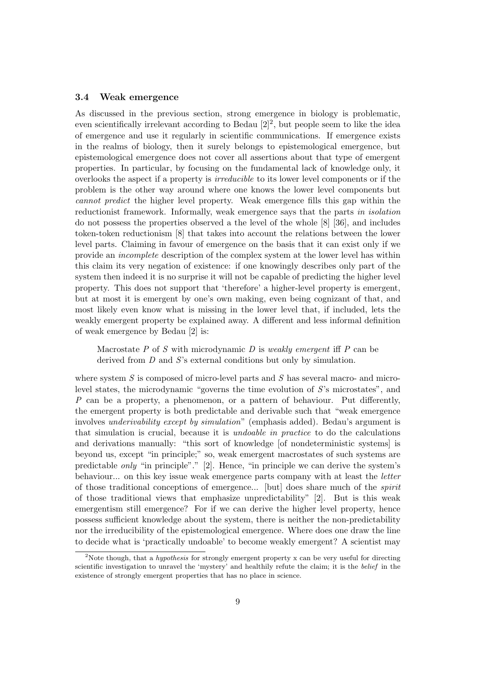#### 3.4 Weak emergence

As discussed in the previous section, strong emergence in biology is problematic, even scientifically irrelevant according to Bedau  $[2]^2$ , but people seem to like the idea of emergence and use it regularly in scientific communications. If emergence exists in the realms of biology, then it surely belongs to epistemological emergence, but epistemological emergence does not cover all assertions about that type of emergent properties. In particular, by focusing on the fundamental lack of knowledge only, it overlooks the aspect if a property is irreducible to its lower level components or if the problem is the other way around where one knows the lower level components but cannot predict the higher level property. Weak emergence fills this gap within the reductionist framework. Informally, weak emergence says that the parts in isolation do not possess the properties observed a the level of the whole [8] [36], and includes token-token reductionism [8] that takes into account the relations between the lower level parts. Claiming in favour of emergence on the basis that it can exist only if we provide an incomplete description of the complex system at the lower level has within this claim its very negation of existence: if one knowingly describes only part of the system then indeed it is no surprise it will not be capable of predicting the higher level property. This does not support that 'therefore' a higher-level property is emergent, but at most it is emergent by one's own making, even being cognizant of that, and most likely even know what is missing in the lower level that, if included, lets the weakly emergent property be explained away. A different and less informal definition of weak emergence by Bedau [2] is:

Macrostate P of S with microdynamic D is weakly emergent iff P can be derived from D and S's external conditions but only by simulation.

where system  $S$  is composed of micro-level parts and  $S$  has several macro- and microlevel states, the microdynamic "governs the time evolution of  $S$ 's microstates", and P can be a property, a phenomenon, or a pattern of behaviour. Put differently, the emergent property is both predictable and derivable such that "weak emergence involves underivability except by simulation" (emphasis added). Bedau's argument is that simulation is crucial, because it is undoable in practice to do the calculations and derivations manually: "this sort of knowledge [of nondeterministic systems] is beyond us, except "in principle;" so, weak emergent macrostates of such systems are predictable only "in principle"." [2]. Hence, "in principle we can derive the system's behaviour... on this key issue weak emergence parts company with at least the letter of those traditional conceptions of emergence... [but] does share much of the spirit of those traditional views that emphasize unpredictability" [2]. But is this weak emergentism still emergence? For if we can derive the higher level property, hence possess sufficient knowledge about the system, there is neither the non-predictability nor the irreducibility of the epistemological emergence. Where does one draw the line to decide what is 'practically undoable' to become weakly emergent? A scientist may

<sup>&</sup>lt;sup>2</sup>Note though, that a *hypothesis* for strongly emergent property x can be very useful for directing scientific investigation to unravel the 'mystery' and healthily refute the claim; it is the belief in the existence of strongly emergent properties that has no place in science.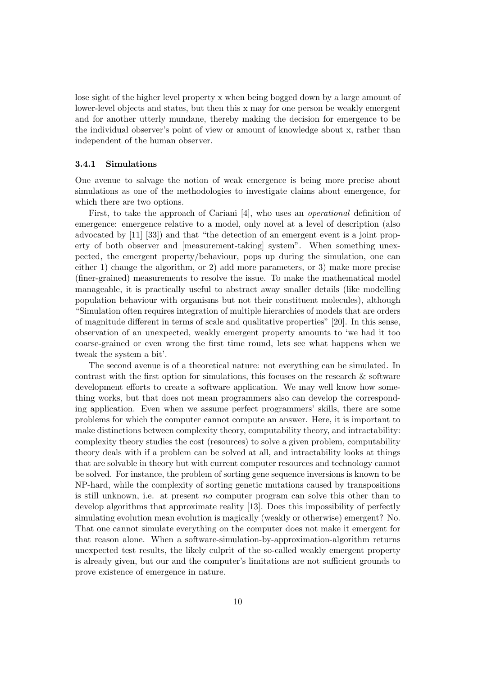lose sight of the higher level property x when being bogged down by a large amount of lower-level objects and states, but then this x may for one person be weakly emergent and for another utterly mundane, thereby making the decision for emergence to be the individual observer's point of view or amount of knowledge about x, rather than independent of the human observer.

#### 3.4.1 Simulations

One avenue to salvage the notion of weak emergence is being more precise about simulations as one of the methodologies to investigate claims about emergence, for which there are two options.

First, to take the approach of Cariani [4], who uses an operational definition of emergence: emergence relative to a model, only novel at a level of description (also advocated by [11] [33]) and that "the detection of an emergent event is a joint property of both observer and [measurement-taking] system". When something unexpected, the emergent property/behaviour, pops up during the simulation, one can either 1) change the algorithm, or 2) add more parameters, or 3) make more precise (finer-grained) measurements to resolve the issue. To make the mathematical model manageable, it is practically useful to abstract away smaller details (like modelling population behaviour with organisms but not their constituent molecules), although "Simulation often requires integration of multiple hierarchies of models that are orders of magnitude different in terms of scale and qualitative properties" [20]. In this sense, observation of an unexpected, weakly emergent property amounts to 'we had it too coarse-grained or even wrong the first time round, lets see what happens when we tweak the system a bit'.

The second avenue is of a theoretical nature: not everything can be simulated. In contrast with the first option for simulations, this focuses on the research  $\&$  software development efforts to create a software application. We may well know how something works, but that does not mean programmers also can develop the corresponding application. Even when we assume perfect programmers' skills, there are some problems for which the computer cannot compute an answer. Here, it is important to make distinctions between complexity theory, computability theory, and intractability: complexity theory studies the cost (resources) to solve a given problem, computability theory deals with if a problem can be solved at all, and intractability looks at things that are solvable in theory but with current computer resources and technology cannot be solved. For instance, the problem of sorting gene sequence inversions is known to be NP-hard, while the complexity of sorting genetic mutations caused by transpositions is still unknown, i.e. at present no computer program can solve this other than to develop algorithms that approximate reality [13]. Does this impossibility of perfectly simulating evolution mean evolution is magically (weakly or otherwise) emergent? No. That one cannot simulate everything on the computer does not make it emergent for that reason alone. When a software-simulation-by-approximation-algorithm returns unexpected test results, the likely culprit of the so-called weakly emergent property is already given, but our and the computer's limitations are not sufficient grounds to prove existence of emergence in nature.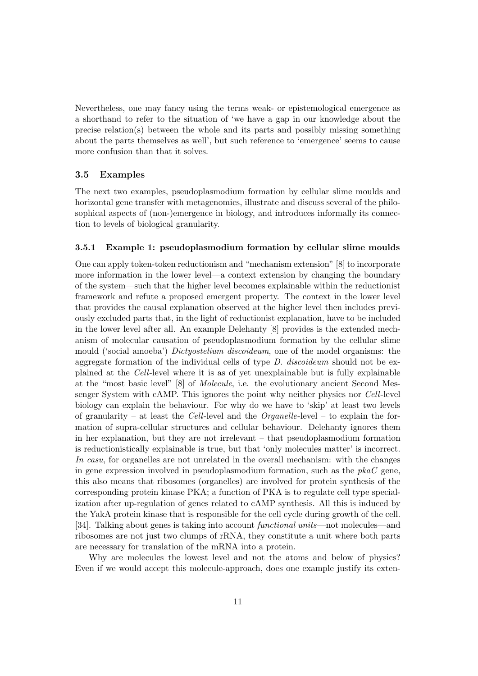Nevertheless, one may fancy using the terms weak- or epistemological emergence as a shorthand to refer to the situation of 'we have a gap in our knowledge about the precise relation(s) between the whole and its parts and possibly missing something about the parts themselves as well', but such reference to 'emergence' seems to cause more confusion than that it solves.

#### 3.5 Examples

The next two examples, pseudoplasmodium formation by cellular slime moulds and horizontal gene transfer with metagenomics, illustrate and discuss several of the philosophical aspects of (non-)emergence in biology, and introduces informally its connection to levels of biological granularity.

#### 3.5.1 Example 1: pseudoplasmodium formation by cellular slime moulds

One can apply token-token reductionism and "mechanism extension" [8] to incorporate more information in the lower level—a context extension by changing the boundary of the system—such that the higher level becomes explainable within the reductionist framework and refute a proposed emergent property. The context in the lower level that provides the causal explanation observed at the higher level then includes previously excluded parts that, in the light of reductionist explanation, have to be included in the lower level after all. An example Delehanty [8] provides is the extended mechanism of molecular causation of pseudoplasmodium formation by the cellular slime mould ('social amoeba') Dictyostelium discoideum, one of the model organisms: the aggregate formation of the individual cells of type  $D$ . discoideum should not be explained at the Cell-level where it is as of yet unexplainable but is fully explainable at the "most basic level" [8] of Molecule, i.e. the evolutionary ancient Second Messenger System with cAMP. This ignores the point why neither physics nor Cell-level biology can explain the behaviour. For why do we have to 'skip' at least two levels of granularity – at least the Cell-level and the  $Organelle$ -level – to explain the formation of supra-cellular structures and cellular behaviour. Delehanty ignores them in her explanation, but they are not irrelevant – that pseudoplasmodium formation is reductionistically explainable is true, but that 'only molecules matter' is incorrect. In casu, for organelles are not unrelated in the overall mechanism: with the changes in gene expression involved in pseudoplasmodium formation, such as the  $pkac$  gene, this also means that ribosomes (organelles) are involved for protein synthesis of the corresponding protein kinase PKA; a function of PKA is to regulate cell type specialization after up-regulation of genes related to cAMP synthesis. All this is induced by the YakA protein kinase that is responsible for the cell cycle during growth of the cell. [34]. Talking about genes is taking into account *functional units*—not molecules—and ribosomes are not just two clumps of rRNA, they constitute a unit where both parts are necessary for translation of the mRNA into a protein.

Why are molecules the lowest level and not the atoms and below of physics? Even if we would accept this molecule-approach, does one example justify its exten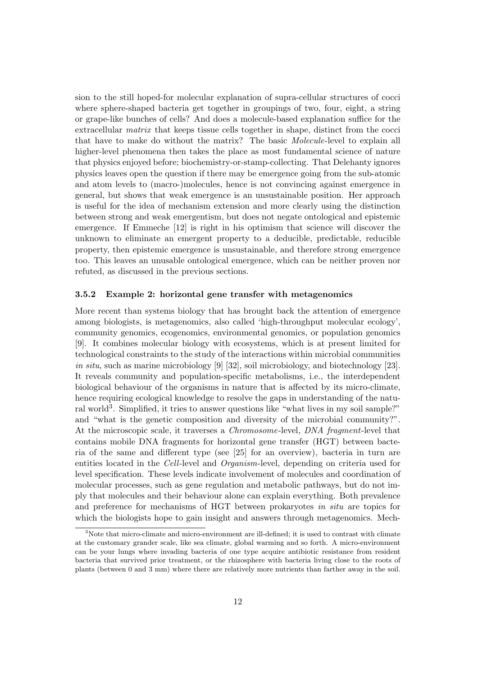sion to the still hoped-for molecular explanation of supra-cellular structures of cocci where sphere-shaped bacteria get together in groupings of two, four, eight, a string or grape-like bunches of cells? And does a molecule-based explanation suffice for the extracellular matrix that keeps tissue cells together in shape, distinct from the cocci that have to make do without the matrix? The basic Molecule-level to explain all higher-level phenomena then takes the place as most fundamental science of nature that physics enjoyed before; biochemistry-or-stamp-collecting. That Delehanty ignores physics leaves open the question if there may be emergence going from the sub-atomic and atom levels to (macro-)molecules, hence is not convincing against emergence in general, but shows that weak emergence is an unsustainable position. Her approach is useful for the idea of mechanism extension and more clearly using the distinction between strong and weak emergentism, but does not negate ontological and epistemic emergence. If Emmeche [12] is right in his optimism that science will discover the unknown to eliminate an emergent property to a deducible, predictable, reducible property, then epistemic emergence is unsustainable, and therefore strong emergence too. This leaves an unusable ontological emergence, which can be neither proven nor refuted, as discussed in the previous sections.

#### 3.5.2 Example 2: horizontal gene transfer with metagenomics

More recent than systems biology that has brought back the attention of emergence among biologists, is metagenomics, also called 'high-throughput molecular ecology', community genomics, ecogenomics, environmental genomics, or population genomics [9]. It combines molecular biology with ecosystems, which is at present limited for technological constraints to the study of the interactions within microbial communities in situ, such as marine microbiology [9] [32], soil microbiology, and biotechnology [23]. It reveals community and population-specific metabolisms, i.e., the interdependent biological behaviour of the organisms in nature that is affected by its micro-climate, hence requiring ecological knowledge to resolve the gaps in understanding of the natural world<sup>3</sup>. Simplified, it tries to answer questions like "what lives in my soil sample?" and "what is the genetic composition and diversity of the microbial community?". At the microscopic scale, it traverses a Chromosome-level, DNA fragment-level that contains mobile DNA fragments for horizontal gene transfer (HGT) between bacteria of the same and different type (see [25] for an overview), bacteria in turn are entities located in the Cell-level and Organism-level, depending on criteria used for level specification. These levels indicate involvement of molecules and coordination of molecular processes, such as gene regulation and metabolic pathways, but do not imply that molecules and their behaviour alone can explain everything. Both prevalence and preference for mechanisms of HGT between prokaryotes in situ are topics for which the biologists hope to gain insight and answers through metagenomics. Mech-

<sup>&</sup>lt;sup>3</sup>Note that micro-climate and micro-environment are ill-defined; it is used to contrast with climate at the customary grander scale, like sea climate, global warming and so forth. A micro-environment can be your lungs where invading bacteria of one type acquire antibiotic resistance from resident bacteria that survived prior treatment, or the rhizosphere with bacteria living close to the roots of plants (between 0 and 3 mm) where there are relatively more nutrients than farther away in the soil.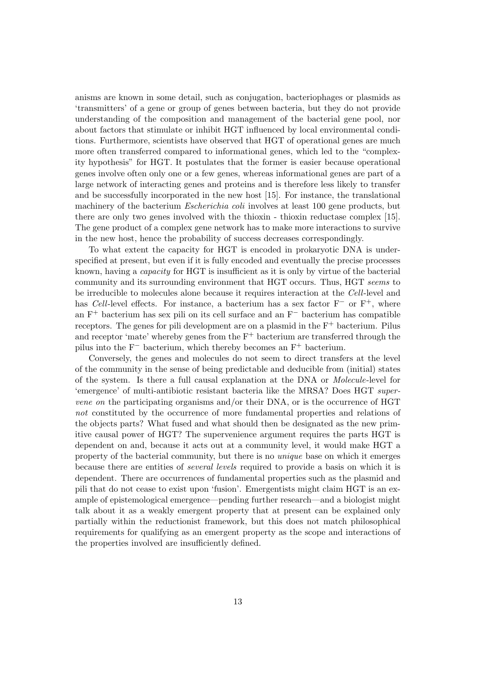anisms are known in some detail, such as conjugation, bacteriophages or plasmids as 'transmitters' of a gene or group of genes between bacteria, but they do not provide understanding of the composition and management of the bacterial gene pool, nor about factors that stimulate or inhibit HGT influenced by local environmental conditions. Furthermore, scientists have observed that HGT of operational genes are much more often transferred compared to informational genes, which led to the "complexity hypothesis" for HGT. It postulates that the former is easier because operational genes involve often only one or a few genes, whereas informational genes are part of a large network of interacting genes and proteins and is therefore less likely to transfer and be successfully incorporated in the new host [15]. For instance, the translational machinery of the bacterium *Escherichia coli* involves at least 100 gene products, but there are only two genes involved with the thioxin - thioxin reductase complex [15]. The gene product of a complex gene network has to make more interactions to survive in the new host, hence the probability of success decreases correspondingly.

To what extent the capacity for HGT is encoded in prokaryotic DNA is underspecified at present, but even if it is fully encoded and eventually the precise processes known, having a capacity for HGT is insufficient as it is only by virtue of the bacterial community and its surrounding environment that HGT occurs. Thus, HGT seems to be irreducible to molecules alone because it requires interaction at the Cell-level and has Cell-level effects. For instance, a bacterium has a sex factor F<sup>−</sup> or F+, where an F<sup>+</sup> bacterium has sex pili on its cell surface and an F<sup>−</sup> bacterium has compatible receptors. The genes for pili development are on a plasmid in the  $F^+$  bacterium. Pilus and receptor 'mate' whereby genes from the  $F^+$  bacterium are transferred through the pilus into the  $F^-$  bacterium, which thereby becomes an  $F^+$  bacterium.

Conversely, the genes and molecules do not seem to direct transfers at the level of the community in the sense of being predictable and deducible from (initial) states of the system. Is there a full causal explanation at the DNA or Molecule-level for 'emergence' of multi-antibiotic resistant bacteria like the MRSA? Does HGT supervene on the participating organisms and/or their DNA, or is the occurrence of HGT not constituted by the occurrence of more fundamental properties and relations of the objects parts? What fused and what should then be designated as the new primitive causal power of HGT? The supervenience argument requires the parts HGT is dependent on and, because it acts out at a community level, it would make HGT a property of the bacterial community, but there is no unique base on which it emerges because there are entities of several levels required to provide a basis on which it is dependent. There are occurrences of fundamental properties such as the plasmid and pili that do not cease to exist upon 'fusion'. Emergentists might claim HGT is an example of epistemological emergence—pending further research—and a biologist might talk about it as a weakly emergent property that at present can be explained only partially within the reductionist framework, but this does not match philosophical requirements for qualifying as an emergent property as the scope and interactions of the properties involved are insufficiently defined.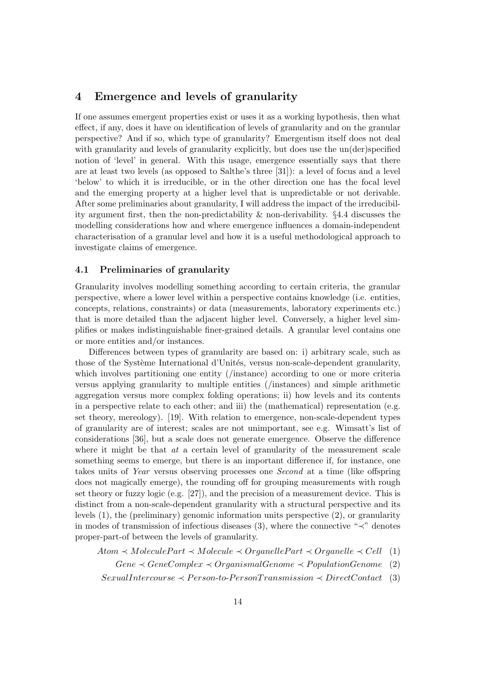# 4 Emergence and levels of granularity

If one assumes emergent properties exist or uses it as a working hypothesis, then what effect, if any, does it have on identification of levels of granularity and on the granular perspective? And if so, which type of granularity? Emergentism itself does not deal with granularity and levels of granularity explicitly, but does use the un(der)specified notion of 'level' in general. With this usage, emergence essentially says that there are at least two levels (as opposed to Salthe's three [31]): a level of focus and a level 'below' to which it is irreducible, or in the other direction one has the focal level and the emerging property at a higher level that is unpredictable or not derivable. After some preliminaries about granularity, I will address the impact of the irreducibility argument first, then the non-predictability & non-derivability. §4.4 discusses the modelling considerations how and where emergence influences a domain-independent characterisation of a granular level and how it is a useful methodological approach to investigate claims of emergence.

#### 4.1 Preliminaries of granularity

Granularity involves modelling something according to certain criteria, the granular perspective, where a lower level within a perspective contains knowledge (i.e. entities, concepts, relations, constraints) or data (measurements, laboratory experiments etc.) that is more detailed than the adjacent higher level. Conversely, a higher level simplifies or makes indistinguishable finer-grained details. A granular level contains one or more entities and/or instances.

Differences between types of granularity are based on: i) arbitrary scale, such as those of the Système International d'Unités, versus non-scale-dependent granularity, which involves partitioning one entity (/instance) according to one or more criteria versus applying granularity to multiple entities (/instances) and simple arithmetic aggregation versus more complex folding operations; ii) how levels and its contents in a perspective relate to each other; and iii) the (mathematical) representation (e.g. set theory, mereology). [19]. With relation to emergence, non-scale-dependent types of granularity are of interest; scales are not unimportant, see e.g. Wimsatt's list of considerations [36], but a scale does not generate emergence. Observe the difference where it might be that  $at$  a certain level of granularity of the measurement scale something seems to emerge, but there is an important difference if, for instance, one takes units of Year versus observing processes one Second at a time (like offspring does not magically emerge), the rounding off for grouping measurements with rough set theory or fuzzy logic (e.g. [27]), and the precision of a measurement device. This is distinct from a non-scale-dependent granularity with a structural perspective and its levels (1), the (preliminary) genomic information units perspective (2), or granularity in modes of transmission of infectious diseases (3), where the connective "≺" denotes proper-part-of between the levels of granularity.

 $Atom \prec Molecular Part \prec Molecular \prec Oracle = 0$  anelle  $Part \prec Oraanelle$  (1)

 $Gene \prec GeneComplex \prec OrganismalGenome \prec PopulationGenome (2)$ 

 $Sexually$   $A Person-to-Person Transmission < DiricContact$  (3)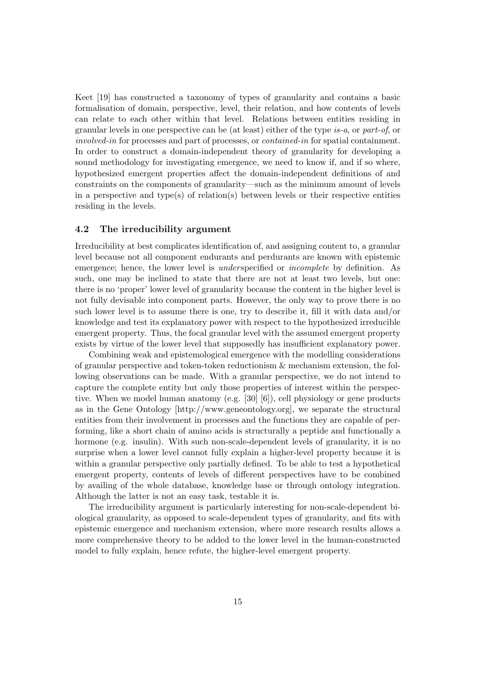Keet [19] has constructed a taxonomy of types of granularity and contains a basic formalisation of domain, perspective, level, their relation, and how contents of levels can relate to each other within that level. Relations between entities residing in granular levels in one perspective can be (at least) either of the type is-a, or part-of, or involved-in for processes and part of processes, or contained-in for spatial containment. In order to construct a domain-independent theory of granularity for developing a sound methodology for investigating emergence, we need to know if, and if so where, hypothesized emergent properties affect the domain-independent definitions of and constraints on the components of granularity—such as the minimum amount of levels in a perspective and type(s) of relation(s) between levels or their respective entities residing in the levels.

#### 4.2 The irreducibility argument

Irreducibility at best complicates identification of, and assigning content to, a granular level because not all component endurants and perdurants are known with epistemic emergence; hence, the lower level is *underspecified* or *incomplete* by definition. As such, one may be inclined to state that there are not at least two levels, but one: there is no 'proper' lower level of granularity because the content in the higher level is not fully devisable into component parts. However, the only way to prove there is no such lower level is to assume there is one, try to describe it, fill it with data and/or knowledge and test its explanatory power with respect to the hypothesized irreducible emergent property. Thus, the focal granular level with the assumed emergent property exists by virtue of the lower level that supposedly has insufficient explanatory power.

Combining weak and epistemological emergence with the modelling considerations of granular perspective and token-token reductionism & mechanism extension, the following observations can be made. With a granular perspective, we do not intend to capture the complete entity but only those properties of interest within the perspective. When we model human anatomy (e.g. [30] [6]), cell physiology or gene products as in the Gene Ontology [http://www.geneontology.org], we separate the structural entities from their involvement in processes and the functions they are capable of performing, like a short chain of amino acids is structurally a peptide and functionally a hormone (e.g. insulin). With such non-scale-dependent levels of granularity, it is no surprise when a lower level cannot fully explain a higher-level property because it is within a granular perspective only partially defined. To be able to test a hypothetical emergent property, contents of levels of different perspectives have to be combined by availing of the whole database, knowledge base or through ontology integration. Although the latter is not an easy task, testable it is.

The irreducibility argument is particularly interesting for non-scale-dependent biological granularity, as opposed to scale-dependent types of granularity, and fits with epistemic emergence and mechanism extension, where more research results allows a more comprehensive theory to be added to the lower level in the human-constructed model to fully explain, hence refute, the higher-level emergent property.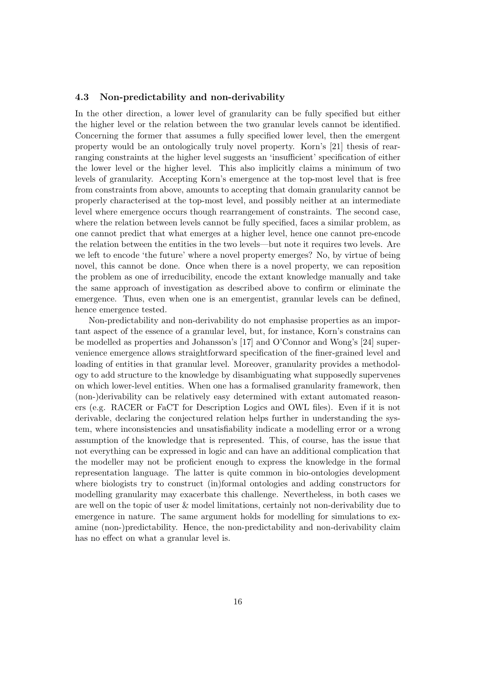#### 4.3 Non-predictability and non-derivability

In the other direction, a lower level of granularity can be fully specified but either the higher level or the relation between the two granular levels cannot be identified. Concerning the former that assumes a fully specified lower level, then the emergent property would be an ontologically truly novel property. Korn's [21] thesis of rearranging constraints at the higher level suggests an 'insufficient' specification of either the lower level or the higher level. This also implicitly claims a minimum of two levels of granularity. Accepting Korn's emergence at the top-most level that is free from constraints from above, amounts to accepting that domain granularity cannot be properly characterised at the top-most level, and possibly neither at an intermediate level where emergence occurs though rearrangement of constraints. The second case, where the relation between levels cannot be fully specified, faces a similar problem, as one cannot predict that what emerges at a higher level, hence one cannot pre-encode the relation between the entities in the two levels—but note it requires two levels. Are we left to encode 'the future' where a novel property emerges? No, by virtue of being novel, this cannot be done. Once when there is a novel property, we can reposition the problem as one of irreducibility, encode the extant knowledge manually and take the same approach of investigation as described above to confirm or eliminate the emergence. Thus, even when one is an emergentist, granular levels can be defined, hence emergence tested.

Non-predictability and non-derivability do not emphasise properties as an important aspect of the essence of a granular level, but, for instance, Korn's constrains can be modelled as properties and Johansson's [17] and O'Connor and Wong's [24] supervenience emergence allows straightforward specification of the finer-grained level and loading of entities in that granular level. Moreover, granularity provides a methodology to add structure to the knowledge by disambiguating what supposedly supervenes on which lower-level entities. When one has a formalised granularity framework, then (non-)derivability can be relatively easy determined with extant automated reasoners (e.g. RACER or FaCT for Description Logics and OWL files). Even if it is not derivable, declaring the conjectured relation helps further in understanding the system, where inconsistencies and unsatisfiability indicate a modelling error or a wrong assumption of the knowledge that is represented. This, of course, has the issue that not everything can be expressed in logic and can have an additional complication that the modeller may not be proficient enough to express the knowledge in the formal representation language. The latter is quite common in bio-ontologies development where biologists try to construct (in)formal ontologies and adding constructors for modelling granularity may exacerbate this challenge. Nevertheless, in both cases we are well on the topic of user & model limitations, certainly not non-derivability due to emergence in nature. The same argument holds for modelling for simulations to examine (non-)predictability. Hence, the non-predictability and non-derivability claim has no effect on what a granular level is.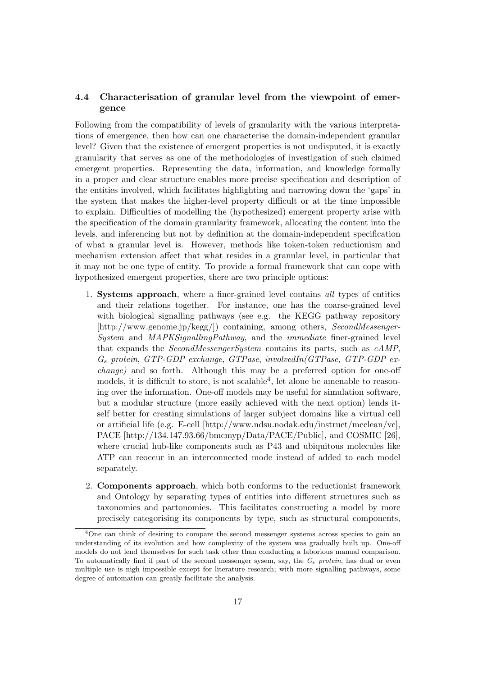### 4.4 Characterisation of granular level from the viewpoint of emergence

Following from the compatibility of levels of granularity with the various interpretations of emergence, then how can one characterise the domain-independent granular level? Given that the existence of emergent properties is not undisputed, it is exactly granularity that serves as one of the methodologies of investigation of such claimed emergent properties. Representing the data, information, and knowledge formally in a proper and clear structure enables more precise specification and description of the entities involved, which facilitates highlighting and narrowing down the 'gaps' in the system that makes the higher-level property difficult or at the time impossible to explain. Difficulties of modelling the (hypothesized) emergent property arise with the specification of the domain granularity framework, allocating the content into the levels, and inferencing but not by definition at the domain-independent specification of what a granular level is. However, methods like token-token reductionism and mechanism extension affect that what resides in a granular level, in particular that it may not be one type of entity. To provide a formal framework that can cope with hypothesized emergent properties, there are two principle options:

- 1. Systems approach, where a finer-grained level contains all types of entities and their relations together. For instance, one has the coarse-grained level with biological signalling pathways (see e.g. the KEGG pathway repository [http://www.genome.jp/kegg/]) containing, among others, SecondMessenger-System and MAPKSignallingPathway, and the immediate finer-grained level that expands the SecondMessengerSystem contains its parts, such as cAMP,  $G_s$  protein, GTP-GDP exchange, GTPase, involvedIn(GTPase, GTP-GDP exchange) and so forth. Although this may be a preferred option for one-off models, it is difficult to store, is not scalable<sup>4</sup>, let alone be amenable to reasoning over the information. One-off models may be useful for simulation software, but a modular structure (more easily achieved with the next option) lends itself better for creating simulations of larger subject domains like a virtual cell or artificial life (e.g. E-cell [http://www.ndsu.nodak.edu/instruct/mcclean/vc], PACE [http://134.147.93.66/bmcmyp/Data/PACE/Public], and COSMIC [26], where crucial hub-like components such as P43 and ubiquitous molecules like ATP can reoccur in an interconnected mode instead of added to each model separately.
- 2. Components approach, which both conforms to the reductionist framework and Ontology by separating types of entities into different structures such as taxonomies and partonomies. This facilitates constructing a model by more precisely categorising its components by type, such as structural components,

<sup>&</sup>lt;sup>4</sup>One can think of desiring to compare the second messenger systems across species to gain an understanding of its evolution and how complexity of the system was gradually built up. One-off models do not lend themselves for such task other than conducting a laborious manual comparison. To automatically find if part of the second messenger sysem, say, the  $G_s$  protein, has dual or even multiple use is nigh impossible except for literature research; with more signalling pathways, some degree of automation can greatly facilitate the analysis.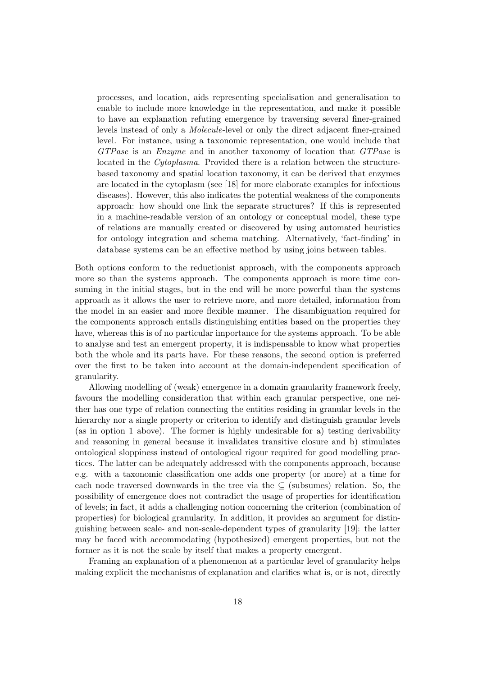processes, and location, aids representing specialisation and generalisation to enable to include more knowledge in the representation, and make it possible to have an explanation refuting emergence by traversing several finer-grained levels instead of only a Molecule-level or only the direct adjacent finer-grained level. For instance, using a taxonomic representation, one would include that GTPase is an Enzyme and in another taxonomy of location that GTPase is located in the *Cytoplasma*. Provided there is a relation between the structurebased taxonomy and spatial location taxonomy, it can be derived that enzymes are located in the cytoplasm (see [18] for more elaborate examples for infectious diseases). However, this also indicates the potential weakness of the components approach: how should one link the separate structures? If this is represented in a machine-readable version of an ontology or conceptual model, these type of relations are manually created or discovered by using automated heuristics for ontology integration and schema matching. Alternatively, 'fact-finding' in database systems can be an effective method by using joins between tables.

Both options conform to the reductionist approach, with the components approach more so than the systems approach. The components approach is more time consuming in the initial stages, but in the end will be more powerful than the systems approach as it allows the user to retrieve more, and more detailed, information from the model in an easier and more flexible manner. The disambiguation required for the components approach entails distinguishing entities based on the properties they have, whereas this is of no particular importance for the systems approach. To be able to analyse and test an emergent property, it is indispensable to know what properties both the whole and its parts have. For these reasons, the second option is preferred over the first to be taken into account at the domain-independent specification of granularity.

Allowing modelling of (weak) emergence in a domain granularity framework freely, favours the modelling consideration that within each granular perspective, one neither has one type of relation connecting the entities residing in granular levels in the hierarchy nor a single property or criterion to identify and distinguish granular levels (as in option 1 above). The former is highly undesirable for a) testing derivability and reasoning in general because it invalidates transitive closure and b) stimulates ontological sloppiness instead of ontological rigour required for good modelling practices. The latter can be adequately addressed with the components approach, because e.g. with a taxonomic classification one adds one property (or more) at a time for each node traversed downwards in the tree via the  $\subseteq$  (subsumes) relation. So, the possibility of emergence does not contradict the usage of properties for identification of levels; in fact, it adds a challenging notion concerning the criterion (combination of properties) for biological granularity. In addition, it provides an argument for distinguishing between scale- and non-scale-dependent types of granularity [19]: the latter may be faced with accommodating (hypothesized) emergent properties, but not the former as it is not the scale by itself that makes a property emergent.

Framing an explanation of a phenomenon at a particular level of granularity helps making explicit the mechanisms of explanation and clarifies what is, or is not, directly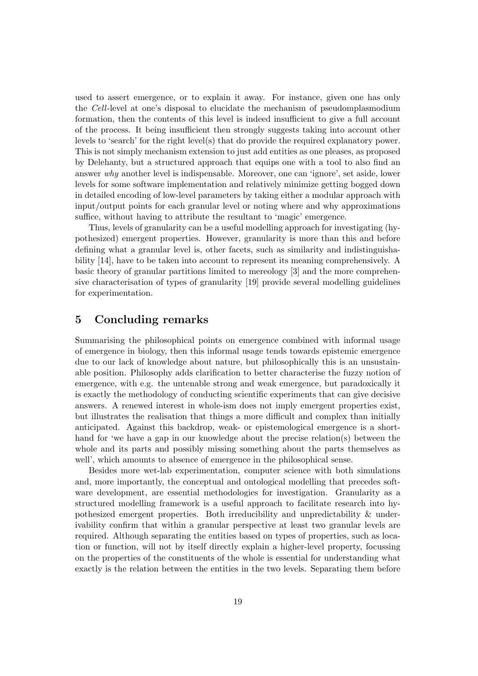used to assert emergence, or to explain it away. For instance, given one has only the Cell-level at one's disposal to elucidate the mechanism of pseudomplasmodium formation, then the contents of this level is indeed insufficient to give a full account of the process. It being insufficient then strongly suggests taking into account other levels to 'search' for the right level(s) that do provide the required explanatory power. This is not simply mechanism extension to just add entities as one pleases, as proposed by Delehanty, but a structured approach that equips one with a tool to also find an answer why another level is indispensable. Moreover, one can 'ignore', set aside, lower levels for some software implementation and relatively minimize getting bogged down in detailed encoding of low-level parameters by taking either a modular approach with input/output points for each granular level or noting where and why approximations suffice, without having to attribute the resultant to 'magic' emergence.

Thus, levels of granularity can be a useful modelling approach for investigating (hypothesized) emergent properties. However, granularity is more than this and before defining what a granular level is, other facets, such as similarity and indistinguishability [14], have to be taken into account to represent its meaning comprehensively. A basic theory of granular partitions limited to mereology [3] and the more comprehensive characterisation of types of granularity [19] provide several modelling guidelines for experimentation.

### 5 Concluding remarks

Summarising the philosophical points on emergence combined with informal usage of emergence in biology, then this informal usage tends towards epistemic emergence due to our lack of knowledge about nature, but philosophically this is an unsustainable position. Philosophy adds clarification to better characterise the fuzzy notion of emergence, with e.g. the untenable strong and weak emergence, but paradoxically it is exactly the methodology of conducting scientific experiments that can give decisive answers. A renewed interest in whole-ism does not imply emergent properties exist, but illustrates the realisation that things a more difficult and complex than initially anticipated. Against this backdrop, weak- or epistemological emergence is a shorthand for 'we have a gap in our knowledge about the precise relation(s) between the whole and its parts and possibly missing something about the parts themselves as well', which amounts to absence of emergence in the philosophical sense.

Besides more wet-lab experimentation, computer science with both simulations and, more importantly, the conceptual and ontological modelling that precedes software development, are essential methodologies for investigation. Granularity as a structured modelling framework is a useful approach to facilitate research into hypothesized emergent properties. Both irreducibility and unpredictability & underivability confirm that within a granular perspective at least two granular levels are required. Although separating the entities based on types of properties, such as location or function, will not by itself directly explain a higher-level property, focussing on the properties of the constituents of the whole is essential for understanding what exactly is the relation between the entities in the two levels. Separating them before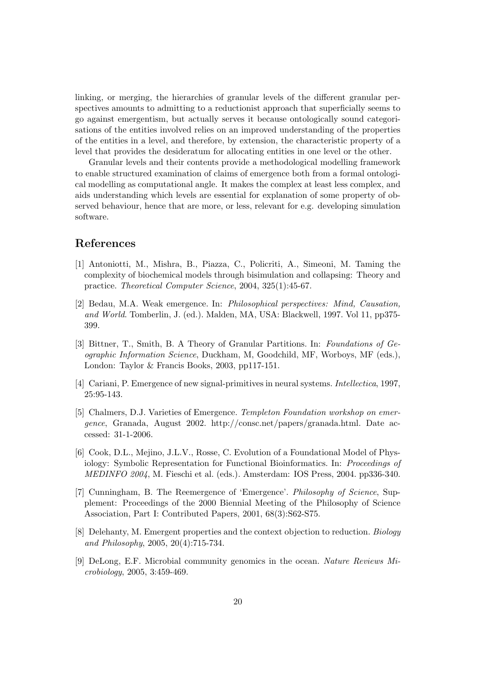linking, or merging, the hierarchies of granular levels of the different granular perspectives amounts to admitting to a reductionist approach that superficially seems to go against emergentism, but actually serves it because ontologically sound categorisations of the entities involved relies on an improved understanding of the properties of the entities in a level, and therefore, by extension, the characteristic property of a level that provides the desideratum for allocating entities in one level or the other.

Granular levels and their contents provide a methodological modelling framework to enable structured examination of claims of emergence both from a formal ontological modelling as computational angle. It makes the complex at least less complex, and aids understanding which levels are essential for explanation of some property of observed behaviour, hence that are more, or less, relevant for e.g. developing simulation software.

### References

- [1] Antoniotti, M., Mishra, B., Piazza, C., Policriti, A., Simeoni, M. Taming the complexity of biochemical models through bisimulation and collapsing: Theory and practice. Theoretical Computer Science, 2004, 325(1):45-67.
- [2] Bedau, M.A. Weak emergence. In: Philosophical perspectives: Mind, Causation, and World. Tomberlin, J. (ed.). Malden, MA, USA: Blackwell, 1997. Vol 11, pp375- 399.
- [3] Bittner, T., Smith, B. A Theory of Granular Partitions. In: Foundations of Geographic Information Science, Duckham, M, Goodchild, MF, Worboys, MF (eds.), London: Taylor & Francis Books, 2003, pp117-151.
- [4] Cariani, P. Emergence of new signal-primitives in neural systems. Intellectica, 1997, 25:95-143.
- [5] Chalmers, D.J. Varieties of Emergence. Templeton Foundation workshop on emergence, Granada, August 2002. http://consc.net/papers/granada.html. Date accessed: 31-1-2006.
- [6] Cook, D.L., Mejino, J.L.V., Rosse, C. Evolution of a Foundational Model of Physiology: Symbolic Representation for Functional Bioinformatics. In: Proceedings of MEDINFO 2004, M. Fieschi et al. (eds.). Amsterdam: IOS Press, 2004. pp336-340.
- [7] Cunningham, B. The Reemergence of 'Emergence'. Philosophy of Science, Supplement: Proceedings of the 2000 Biennial Meeting of the Philosophy of Science Association, Part I: Contributed Papers, 2001, 68(3):S62-S75.
- [8] Delehanty, M. Emergent properties and the context objection to reduction. Biology and Philosophy, 2005, 20(4):715-734.
- [9] DeLong, E.F. Microbial community genomics in the ocean. Nature Reviews Microbiology, 2005, 3:459-469.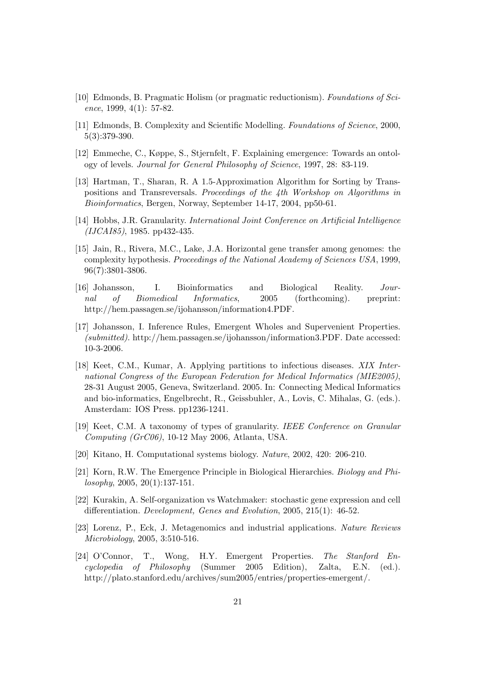- [10] Edmonds, B. Pragmatic Holism (or pragmatic reductionism). Foundations of Science, 1999, 4(1): 57-82.
- [11] Edmonds, B. Complexity and Scientific Modelling. Foundations of Science, 2000, 5(3):379-390.
- [12] Emmeche, C., Køppe, S., Stjernfelt, F. Explaining emergence: Towards an ontology of levels. Journal for General Philosophy of Science, 1997, 28: 83-119.
- [13] Hartman, T., Sharan, R. A 1.5-Approximation Algorithm for Sorting by Transpositions and Transreversals. Proceedings of the 4th Workshop on Algorithms in Bioinformatics, Bergen, Norway, September 14-17, 2004, pp50-61.
- [14] Hobbs, J.R. Granularity. International Joint Conference on Artificial Intelligence (IJCAI85), 1985. pp432-435.
- [15] Jain, R., Rivera, M.C., Lake, J.A. Horizontal gene transfer among genomes: the complexity hypothesis. Proceedings of the National Academy of Sciences USA, 1999, 96(7):3801-3806.
- [16] Johansson, I. Bioinformatics and Biological Reality. Journal of Biomedical Informatics, 2005 (forthcoming). preprint: http://hem.passagen.se/ijohansson/information4.PDF.
- [17] Johansson, I. Inference Rules, Emergent Wholes and Supervenient Properties. (submitted). http://hem.passagen.se/ijohansson/information3.PDF. Date accessed: 10-3-2006.
- [18] Keet, C.M., Kumar, A. Applying partitions to infectious diseases. XIX International Congress of the European Federation for Medical Informatics (MIE2005), 28-31 August 2005, Geneva, Switzerland. 2005. In: Connecting Medical Informatics and bio-informatics, Engelbrecht, R., Geissbuhler, A., Lovis, C. Mihalas, G. (eds.). Amsterdam: IOS Press. pp1236-1241.
- [19] Keet, C.M. A taxonomy of types of granularity. IEEE Conference on Granular Computing (GrC06), 10-12 May 2006, Atlanta, USA.
- [20] Kitano, H. Computational systems biology. Nature, 2002, 420: 206-210.
- [21] Korn, R.W. The Emergence Principle in Biological Hierarchies. Biology and Philosophy, 2005, 20(1):137-151.
- [22] Kurakin, A. Self-organization vs Watchmaker: stochastic gene expression and cell differentiation. Development, Genes and Evolution, 2005, 215(1): 46-52.
- [23] Lorenz, P., Eck, J. Metagenomics and industrial applications. Nature Reviews Microbiology, 2005, 3:510-516.
- [24] O'Connor, T., Wong, H.Y. Emergent Properties. The Stanford Encyclopedia of Philosophy (Summer 2005 Edition), Zalta, E.N. (ed.). http://plato.stanford.edu/archives/sum2005/entries/properties-emergent/.